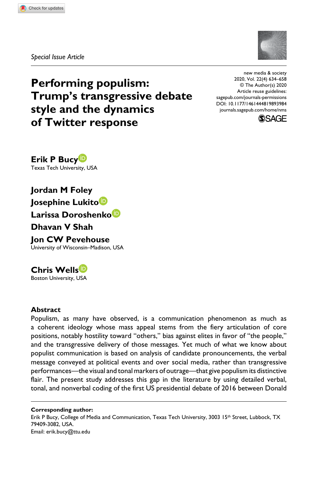**8939[84](http://crossmark.crossref.org/dialog/?doi=10.1177%2F1461444819893984&domain=pdf&date_stamp=2020-04-02)** NMS0010.1177/1461444819893984New Media & Society**Bucy et al.**

*Special Issue Article*

# **Performing populism: Trump's transgressive debate style and the dynamics of Twitter response**

https://doi.org/10.1177/1461444819893984 DOI: 10.1177/1461444819893984 new media & society 2020, Vol. 22(4) 634–658 © The Author(s) 2020 Article reuse guidelines: [sagepub.com/journals-permissions](https://uk.sagepub.com/en-gb/journals-permissions) [journals.sagepub.com/home/nms](https://journals.sagepub.com/home/nms)



**Erik P Bucy** Texas Tech University, USA

**Jordan M Foley Josephine Lukito Larissa Doroshenko Dhavan V Shah**

**Jon CW Pevehouse** University of Wisconsin–Madison, USA

**Chris Wells** Boston University, USA

# **Abstract**

Populism, as many have observed, is a communication phenomenon as much as a coherent ideology whose mass appeal stems from the fiery articulation of core positions, notably hostility toward "others," bias against elites in favor of "the people," and the transgressive delivery of those messages. Yet much of what we know about populist communication is based on analysis of candidate pronouncements, the verbal message conveyed at political events and over social media, rather than transgressive performances—the visual and tonal markers of outrage—that give populism its distinctive flair. The present study addresses this gap in the literature by using detailed verbal, tonal, and nonverbal coding of the first US presidential debate of 2016 between Donald

**Corresponding author:** Erik P Bucy, College of Media and Communication, Texas Tech University, 3003 15<sup>th</sup> Street, Lubbock, TX 79409-3082, USA. Email: [erik.bucy@ttu.edu](mailto:erik.bucy@ttu.edu)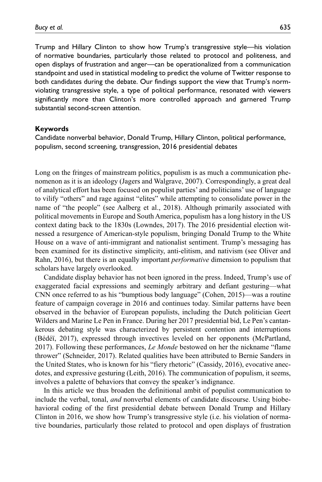Trump and Hillary Clinton to show how Trump's transgressive style—his violation of normative boundaries, particularly those related to protocol and politeness, and open displays of frustration and anger—can be operationalized from a communication standpoint and used in statistical modeling to predict the volume of Twitter response to both candidates during the debate. Our findings support the view that Trump's normviolating transgressive style, a type of political performance, resonated with viewers significantly more than Clinton's more controlled approach and garnered Trump substantial second-screen attention.

#### **Keywords**

Candidate nonverbal behavior, Donald Trump, Hillary Clinton, political performance, populism, second screening, transgression, 2016 presidential debates

Long on the fringes of mainstream politics, populism is as much a communication phenomenon as it is an ideology (Jagers and Walgrave, 2007). Correspondingly, a great deal of analytical effort has been focused on populist parties' and politicians' use of language to vilify "others" and rage against "elites" while attempting to consolidate power in the name of "the people" (see Aalberg et al., 2018). Although primarily associated with political movements in Europe and South America, populism has a long history in the US context dating back to the 1830s (Lowndes, 2017). The 2016 presidential election witnessed a resurgence of American-style populism, bringing Donald Trump to the White House on a wave of anti-immigrant and nationalist sentiment. Trump's messaging has been examined for its distinctive simplicity, anti-elitism, and nativism (see Oliver and Rahn, 2016), but there is an equally important *performative* dimension to populism that scholars have largely overlooked.

Candidate display behavior has not been ignored in the press. Indeed, Trump's use of exaggerated facial expressions and seemingly arbitrary and defiant gesturing—what CNN once referred to as his "bumptious body language" (Cohen, 2015)—was a routine feature of campaign coverage in 2016 and continues today. Similar patterns have been observed in the behavior of European populists, including the Dutch politician Geert Wilders and Marine Le Pen in France. During her 2017 presidential bid, Le Pen's cantankerous debating style was characterized by persistent contention and interruptions (Bédéï, 2017), expressed through invectives leveled on her opponents (McPartland, 2017). Following these performances, *Le Monde* bestowed on her the nickname "flame thrower" (Schneider, 2017). Related qualities have been attributed to Bernie Sanders in the United States, who is known for his "fiery rhetoric" (Cassidy, 2016), evocative anecdotes, and expressive gesturing (Leith, 2016). The communication of populism, it seems, involves a palette of behaviors that convey the speaker's indignance.

In this article we thus broaden the definitional ambit of populist communication to include the verbal, tonal, *and* nonverbal elements of candidate discourse. Using biobehavioral coding of the first presidential debate between Donald Trump and Hillary Clinton in 2016, we show how Trump's transgressive style (i.e. his violation of normative boundaries, particularly those related to protocol and open displays of frustration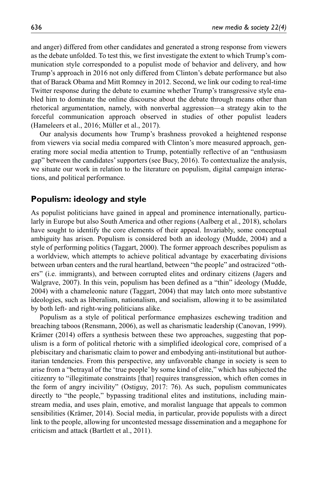and anger) differed from other candidates and generated a strong response from viewers as the debate unfolded. To test this, we first investigate the extent to which Trump's communication style corresponded to a populist mode of behavior and delivery, and how Trump's approach in 2016 not only differed from Clinton's debate performance but also that of Barack Obama and Mitt Romney in 2012. Second, we link our coding to real-time Twitter response during the debate to examine whether Trump's transgressive style enabled him to dominate the online discourse about the debate through means other than rhetorical argumentation, namely, with nonverbal aggression—a strategy akin to the forceful communication approach observed in studies of other populist leaders (Hameleers et al., 2016; Müller et al., 2017).

Our analysis documents how Trump's brashness provoked a heightened response from viewers via social media compared with Clinton's more measured approach, generating more social media attention to Trump, potentially reflective of an "enthusiasm gap" between the candidates' supporters (see Bucy, 2016). To contextualize the analysis, we situate our work in relation to the literature on populism, digital campaign interactions, and political performance.

# **Populism: ideology and style**

As populist politicians have gained in appeal and prominence internationally, particularly in Europe but also South America and other regions (Aalberg et al., 2018), scholars have sought to identify the core elements of their appeal. Invariably, some conceptual ambiguity has arisen. Populism is considered both an ideology (Mudde, 2004) and a style of performing politics (Taggart, 2000). The former approach describes populism as a worldview, which attempts to achieve political advantage by exacerbating divisions between urban centers and the rural heartland, between "the people" and ostracized "others" (i.e. immigrants), and between corrupted elites and ordinary citizens (Jagers and Walgrave, 2007). In this vein, populism has been defined as a "thin" ideology (Mudde, 2004) with a chameleonic nature (Taggart, 2004) that may latch onto more substantive ideologies, such as liberalism, nationalism, and socialism, allowing it to be assimilated by both left- and right-wing politicians alike.

Populism as a style of political performance emphasizes eschewing tradition and breaching taboos (Rensmann, 2006), as well as charismatic leadership (Canovan, 1999). Krämer (2014) offers a synthesis between these two approaches, suggesting that populism is a form of political rhetoric with a simplified ideological core, comprised of a plebiscitary and charismatic claim to power and embodying anti-institutional but authoritarian tendencies. From this perspective, any unfavorable change in society is seen to arise from a "betrayal of the 'true people' by some kind of elite," which has subjected the citizenry to "illegitimate constraints [that] requires transgression, which often comes in the form of angry incivility" (Ostiguy, 2017: 76). As such, populism communicates directly to "the people," bypassing traditional elites and institutions, including mainstream media, and uses plain, emotive, and moralist language that appeals to common sensibilities (Krämer, 2014). Social media, in particular, provide populists with a direct link to the people, allowing for uncontested message dissemination and a megaphone for criticism and attack (Bartlett et al., 2011).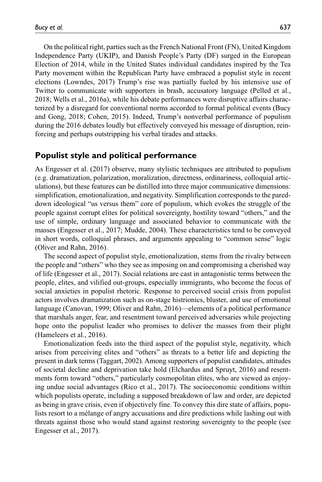On the political right, parties such as the French National Front (FN), United Kingdom Independence Party (UKIP), and Danish People's Party (DF) surged in the European Election of 2014, while in the United States individual candidates inspired by the Tea Party movement within the Republican Party have embraced a populist style in recent elections (Lowndes, 2017) Trump's rise was partially fueled by his intensive use of Twitter to communicate with supporters in brash, accusatory language (Pelled et al., 2018; Wells et al., 2016a), while his debate performances were disruptive affairs characterized by a disregard for conventional norms accorded to formal political events (Bucy and Gong, 2018; Cohen, 2015). Indeed, Trump's nonverbal performance of populism during the 2016 debates loudly but effectively conveyed his message of disruption, reinforcing and perhaps outstripping his verbal tirades and attacks.

# **Populist style and political performance**

As Engesser et al. (2017) observe, many stylistic techniques are attributed to populism (e.g. dramatization, polarization, moralization, directness, ordinariness, colloquial articulations), but these features can be distilled into three major communicative dimensions: simplification, emotionalization, and negativity. Simplification corresponds to the pareddown ideological "us versus them" core of populism, which evokes the struggle of the people against corrupt elites for political sovereignty, hostility toward "others," and the use of simple, ordinary language and associated behavior to communicate with the masses (Engesser et al., 2017; Mudde, 2004). These characteristics tend to be conveyed in short words, colloquial phrases, and arguments appealing to "common sense" logic (Oliver and Rahn, 2016).

The second aspect of populist style, emotionalization, stems from the rivalry between the people and "others" who they see as imposing on and compromising a cherished way of life (Engesser et al., 2017). Social relations are cast in antagonistic terms between the people, elites, and vilified out-groups, especially immigrants, who become the focus of social anxieties in populist rhetoric. Response to perceived social crisis from populist actors involves dramatization such as on-stage histrionics, bluster, and use of emotional language (Canovan, 1999; Oliver and Rahn, 2016)—elements of a political performance that marshals anger, fear, and resentment toward perceived adversaries while projecting hope onto the populist leader who promises to deliver the masses from their plight (Hameleers et al., 2016).

Emotionalization feeds into the third aspect of the populist style, negativity, which arises from perceiving elites and "others" as threats to a better life and depicting the present in dark terms (Taggart, 2002). Among supporters of populist candidates, attitudes of societal decline and deprivation take hold (Elchardus and Spruyt, 2016) and resentments form toward "others," particularly cosmopolitan elites, who are viewed as enjoying undue social advantages (Rico et al., 2017). The socioeconomic conditions within which populists operate, including a supposed breakdown of law and order, are depicted as being in grave crisis, even if objectively fine. To convey this dire state of affairs, populists resort to a mélange of angry accusations and dire predictions while lashing out with threats against those who would stand against restoring sovereignty to the people (see Engesser et al., 2017).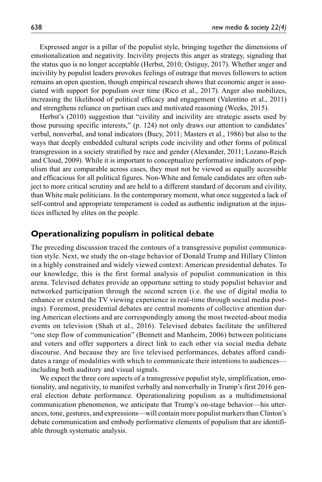Expressed anger is a pillar of the populist style, bringing together the dimensions of emotionalization and negativity. Incivility projects this anger as strategy, signaling that the status quo is no longer acceptable (Herbst, 2010; Ostiguy, 2017). Whether anger and incivility by populist leaders provokes feelings of outrage that moves followers to action remains an open question, though empirical research shows that economic anger is associated with support for populism over time (Rico et al., 2017). Anger also mobilizes, increasing the likelihood of political efficacy and engagement (Valentino et al., 2011) and strengthens reliance on partisan cues and motivated reasoning (Weeks, 2015).

Herbst's (2010) suggestion that "civility and incivility are strategic assets used by those pursuing specific interests," (p. 124) not only draws our attention to candidates' verbal, nonverbal, and tonal indicators (Bucy, 2011; Masters et al., 1986) but also to the ways that deeply embedded cultural scripts code incivility and other forms of political transgression in a society stratified by race and gender (Alexander, 2011; Lozano-Reich and Cloud, 2009). While it is important to conceptualize performative indicators of populism that are comparable across cases, they must not be viewed as equally accessible and efficacious for all political figures. Non-White and female candidates are often subject to more critical scrutiny and are held to a different standard of decorum and civility, than White male politicians. In the contemporary moment, what once suggested a lack of self-control and appropriate temperament is coded as authentic indignation at the injustices inflicted by elites on the people.

# **Operationalizing populism in political debate**

The preceding discussion traced the contours of a transgressive populist communication style. Next, we study the on-stage behavior of Donald Trump and Hillary Clinton in a highly constrained and widely viewed context: American presidential debates. To our knowledge, this is the first formal analysis of populist communication in this arena. Televised debates provide an opportune setting to study populist behavior and networked participation through the second screen (i.e. the use of digital media to enhance or extend the TV viewing experience in real-time through social media postings). Foremost, presidential debates are central moments of collective attention during American elections and are correspondingly among the most tweeted-about media events on television (Shah et al., 2016). Televised debates facilitate the unfiltered "one step flow of communication" (Bennett and Manheim, 2006) between politicians and voters and offer supporters a direct link to each other via social media debate discourse. And because they are live televised performances, debates afford candidates a range of modalities with which to communicate their intentions to audiences including both auditory and visual signals.

We expect the three core aspects of a transgressive populist style, simplification, emotionality, and negativity, to manifest verbally and nonverbally in Trump's first 2016 general election debate performance. Operationalizing populism as a multidimensional communication phenomenon, we anticipate that Trump's on-stage behavior—his utterances, tone, gestures, and expressions—will contain more populist markers than Clinton's debate communication and embody performative elements of populism that are identifiable through systematic analysis.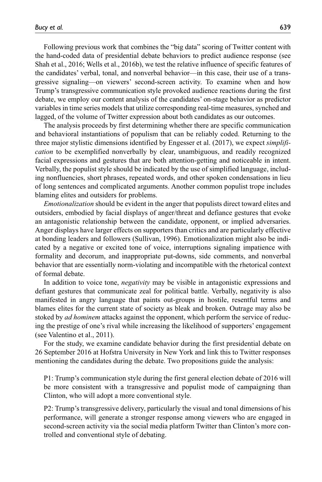Following previous work that combines the "big data" scoring of Twitter content with the hand-coded data of presidential debate behaviors to predict audience response (see Shah et al., 2016; Wells et al., 2016b), we test the relative influence of specific features of the candidates' verbal, tonal, and nonverbal behavior—in this case, their use of a transgressive signaling—on viewers' second-screen activity. To examine when and how Trump's transgressive communication style provoked audience reactions during the first debate, we employ our content analysis of the candidates' on-stage behavior as predictor variables in time series models that utilize corresponding real-time measures, synched and lagged, of the volume of Twitter expression about both candidates as our outcomes.

The analysis proceeds by first determining whether there are specific communication and behavioral instantiations of populism that can be reliably coded. Returning to the three major stylistic dimensions identified by Engesser et al. (2017), we expect *simplification* to be exemplified nonverbally by clear, unambiguous, and readily recognized facial expressions and gestures that are both attention-getting and noticeable in intent. Verbally, the populist style should be indicated by the use of simplified language, including nonfluencies, short phrases, repeated words, and other spoken condensations in lieu of long sentences and complicated arguments. Another common populist trope includes blaming elites and outsiders for problems.

*Emotionalization* should be evident in the anger that populists direct toward elites and outsiders, embodied by facial displays of anger/threat and defiance gestures that evoke an antagonistic relationship between the candidate, opponent, or implied adversaries. Anger displays have larger effects on supporters than critics and are particularly effective at bonding leaders and followers (Sullivan, 1996). Emotionalization might also be indicated by a negative or excited tone of voice, interruptions signaling impatience with formality and decorum, and inappropriate put-downs, side comments, and nonverbal behavior that are essentially norm-violating and incompatible with the rhetorical context of formal debate.

In addition to voice tone, *negativity* may be visible in antagonistic expressions and defiant gestures that communicate zeal for political battle. Verbally, negativity is also manifested in angry language that paints out-groups in hostile, resentful terms and blames elites for the current state of society as bleak and broken. Outrage may also be stoked by *ad hominem* attacks against the opponent, which perform the service of reducing the prestige of one's rival while increasing the likelihood of supporters' engagement (see Valentino et al., 2011).

For the study, we examine candidate behavior during the first presidential debate on 26 September 2016 at Hofstra University in New York and link this to Twitter responses mentioning the candidates during the debate. Two propositions guide the analysis:

P1: Trump's communication style during the first general election debate of 2016 will be more consistent with a transgressive and populist mode of campaigning than Clinton, who will adopt a more conventional style.

P2: Trump's transgressive delivery, particularly the visual and tonal dimensions of his performance, will generate a stronger response among viewers who are engaged in second-screen activity via the social media platform Twitter than Clinton's more controlled and conventional style of debating.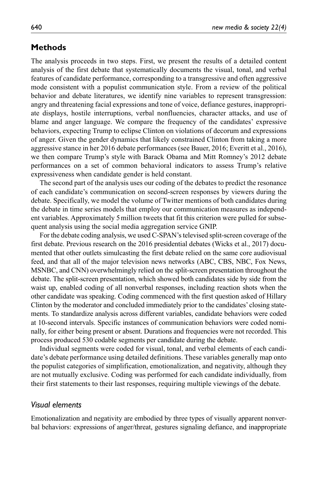# **Methods**

The analysis proceeds in two steps. First, we present the results of a detailed content analysis of the first debate that systematically documents the visual, tonal, and verbal features of candidate performance, corresponding to a transgressive and often aggressive mode consistent with a populist communication style. From a review of the political behavior and debate literatures, we identify nine variables to represent transgression: angry and threatening facial expressions and tone of voice, defiance gestures, inappropriate displays, hostile interruptions, verbal nonfluencies, character attacks, and use of blame and anger language. We compare the frequency of the candidates' expressive behaviors, expecting Trump to eclipse Clinton on violations of decorum and expressions of anger. Given the gender dynamics that likely constrained Clinton from taking a more aggressive stance in her 2016 debate performances (see Bauer, 2016; Everitt et al., 2016), we then compare Trump's style with Barack Obama and Mitt Romney's 2012 debate performances on a set of common behavioral indicators to assess Trump's relative expressiveness when candidate gender is held constant.

The second part of the analysis uses our coding of the debates to predict the resonance of each candidate's communication on second-screen responses by viewers during the debate. Specifically, we model the volume of Twitter mentions of both candidates during the debate in time series models that employ our communication measures as independent variables. Approximately 5million tweets that fit this criterion were pulled for subsequent analysis using the social media aggregation service GNIP.

For the debate coding analysis, we used C-SPAN's televised split-screen coverage of the first debate. Previous research on the 2016 presidential debates (Wicks et al., 2017) documented that other outlets simulcasting the first debate relied on the same core audiovisual feed, and that all of the major television news networks (ABC, CBS, NBC, Fox News, MSNBC, and CNN) overwhelmingly relied on the split-screen presentation throughout the debate. The split-screen presentation, which showed both candidates side by side from the waist up, enabled coding of all nonverbal responses, including reaction shots when the other candidate was speaking. Coding commenced with the first question asked of Hillary Clinton by the moderator and concluded immediately prior to the candidates' closing statements. To standardize analysis across different variables, candidate behaviors were coded at 10-second intervals. Specific instances of communication behaviors were coded nominally, for either being present or absent. Durations and frequencies were not recorded. This process produced 530 codable segments per candidate during the debate.

Individual segments were coded for visual, tonal, and verbal elements of each candidate's debate performance using detailed definitions. These variables generally map onto the populist categories of simplification, emotionalization, and negativity, although they are not mutually exclusive. Coding was performed for each candidate individually, from their first statements to their last responses, requiring multiple viewings of the debate.

# *Visual elements*

Emotionalization and negativity are embodied by three types of visually apparent nonverbal behaviors: expressions of anger/threat, gestures signaling defiance, and inappropriate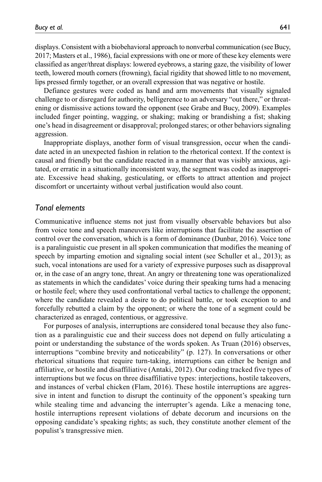displays. Consistent with a biobehavioral approach to nonverbal communication (see Bucy, 2017; Masters et al., 1986), facial expressions with one or more of these key elements were classified as anger/threat displays: lowered eyebrows, a staring gaze, the visibility of lower teeth, lowered mouth corners (frowning), facial rigidity that showed little to no movement, lips pressed firmly together, or an overall expression that was negative or hostile.

Defiance gestures were coded as hand and arm movements that visually signaled challenge to or disregard for authority, belligerence to an adversary "out there," or threatening or dismissive actions toward the opponent (see Grabe and Bucy, 2009). Examples included finger pointing, wagging, or shaking; making or brandishing a fist; shaking one's head in disagreement or disapproval; prolonged stares; or other behaviors signaling aggression.

Inappropriate displays, another form of visual transgression, occur when the candidate acted in an unexpected fashion in relation to the rhetorical context. If the context is causal and friendly but the candidate reacted in a manner that was visibly anxious, agitated, or erratic in a situationally inconsistent way, the segment was coded as inappropriate. Excessive head shaking, gesticulating, or efforts to attract attention and project discomfort or uncertainty without verbal justification would also count.

## *Tonal elements*

Communicative influence stems not just from visually observable behaviors but also from voice tone and speech maneuvers like interruptions that facilitate the assertion of control over the conversation, which is a form of dominance (Dunbar, 2016). Voice tone is a paralinguistic cue present in all spoken communication that modifies the meaning of speech by imparting emotion and signaling social intent (see Schuller et al., 2013); as such, vocal intonations are used for a variety of expressive purposes such as disapproval or, in the case of an angry tone, threat. An angry or threatening tone was operationalized as statements in which the candidates' voice during their speaking turns had a menacing or hostile feel; where they used confrontational verbal tactics to challenge the opponent; where the candidate revealed a desire to do political battle, or took exception to and forcefully rebutted a claim by the opponent; or where the tone of a segment could be characterized as enraged, contentious, or aggressive.

For purposes of analysis, interruptions are considered tonal because they also function as a paralinguistic cue and their success does not depend on fully articulating a point or understanding the substance of the words spoken. As Truan (2016) observes, interruptions "combine brevity and noticeability" (p. 127). In conversations or other rhetorical situations that require turn-taking, interruptions can either be benign and affiliative, or hostile and disaffiliative (Antaki, 2012). Our coding tracked five types of interruptions but we focus on three disaffiliative types: interjections, hostile takeovers, and instances of verbal chicken (Flam, 2016). These hostile interruptions are aggressive in intent and function to disrupt the continuity of the opponent's speaking turn while stealing time and advancing the interrupter's agenda. Like a menacing tone, hostile interruptions represent violations of debate decorum and incursions on the opposing candidate's speaking rights; as such, they constitute another element of the populist's transgressive mien.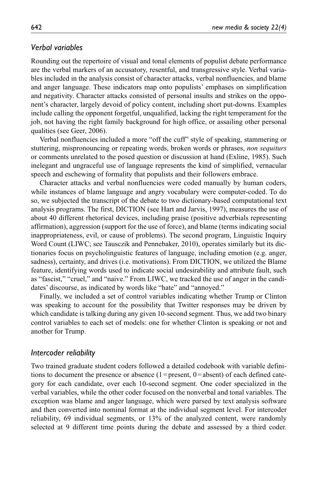## *Verbal variables*

Rounding out the repertoire of visual and tonal elements of populist debate performance are the verbal markers of an accusatory, resentful, and transgressive style. Verbal variables included in the analysis consist of character attacks, verbal nonfluencies, and blame and anger language. These indicators map onto populists' emphases on simplification and negativity. Character attacks consisted of personal insults and strikes on the opponent's character, largely devoid of policy content, including short put-downs. Examples include calling the opponent forgetful, unqualified, lacking the right temperament for the job, not having the right family background for high office, or assailing other personal qualities (see Geer, 2006).

Verbal nonfluencies included a more "off the cuff" style of speaking, stammering or stuttering, mispronouncing or repeating words, broken words or phrases, *non sequiturs* or comments unrelated to the posed question or discussion at hand (Exline, 1985). Such inelegant and ungraceful use of language represents the kind of simplified, vernacular speech and eschewing of formality that populists and their followers embrace.

Character attacks and verbal nonfluencies were coded manually by human coders, while instances of blame language and angry vocabulary were computer-coded. To do so, we subjected the transcript of the debate to two dictionary-based computational text analysis programs. The first, DICTION (see Hart and Jarvis, 1997), measures the use of about 40 different rhetorical devices, including praise (positive adverbials representing affirmation), aggression (support for the use of force), and blame (terms indicating social inappropriateness, evil, or cause of problems). The second program, Linguistic Inquiry Word Count (LIWC; see Tausczik and Pennebaker, 2010), operates similarly but its dictionaries focus on psycholinguistic features of language, including emotion (e.g. anger, sadness), certainty, and drives (i.e. motivations). From DICTION, we utilized the Blame feature, identifying words used to indicate social undesirability and attribute fault, such as "fascist," "cruel," and "naive." From LIWC, we tracked the use of anger in the candidates' discourse, as indicated by words like "hate" and "annoyed."

Finally, we included a set of control variables indicating whether Trump or Clinton was speaking to account for the possibility that Twitter responses may be driven by which candidate is talking during any given 10-second segment. Thus, we add two binary control variables to each set of models: one for whether Clinton is speaking or not and another for Trump.

#### *Intercoder reliability*

Two trained graduate student coders followed a detailed codebook with variable definitions to document the presence or absence  $(1)$ =present,  $0=$ absent) of each defined category for each candidate, over each 10-second segment. One coder specialized in the verbal variables, while the other coder focused on the nonverbal and tonal variables. The exception was blame and anger language, which were parsed by text analysis software and then converted into nominal format at the individual segment level. For intercoder reliability, 69 individual segments, or 13% of the analyzed content, were randomly selected at 9 different time points during the debate and assessed by a third coder.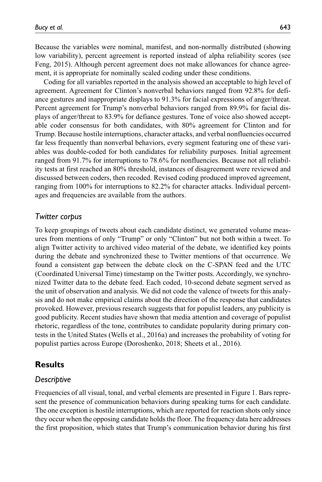Because the variables were nominal, manifest, and non-normally distributed (showing low variability), percent agreement is reported instead of alpha reliability scores (see Feng, 2015). Although percent agreement does not make allowances for chance agreement, it is appropriate for nominally scaled coding under these conditions.

Coding for all variables reported in the analysis showed an acceptable to high level of agreement. Agreement for Clinton's nonverbal behaviors ranged from 92.8% for defiance gestures and inappropriate displays to 91.3% for facial expressions of anger/threat. Percent agreement for Trump's nonverbal behaviors ranged from 89.9% for facial displays of anger/threat to 83.9% for defiance gestures. Tone of voice also showed acceptable coder consensus for both candidates, with 80% agreement for Clinton and for Trump. Because hostile interruptions, character attacks, and verbal nonfluencies occurred far less frequently than nonverbal behaviors, every segment featuring one of these variables was double-coded for both candidates for reliability purposes. Initial agreement ranged from 91.7% for interruptions to 78.6% for nonfluencies. Because not all reliability tests at first reached an 80% threshold, instances of disagreement were reviewed and discussed between coders, then recoded. Revised coding produced improved agreement, ranging from 100% for interruptions to 82.2% for character attacks. Individual percentages and frequencies are available from the authors.

#### *Twitter corpus*

To keep groupings of tweets about each candidate distinct, we generated volume measures from mentions of only "Trump" or only "Clinton" but not both within a tweet. To align Twitter activity to archived video material of the debate, we identified key points during the debate and synchronized these to Twitter mentions of that occurrence. We found a consistent gap between the debate clock on the C-SPAN feed and the UTC (Coordinated Universal Time) timestamp on the Twitter posts. Accordingly, we synchronized Twitter data to the debate feed. Each coded, 10-second debate segment served as the unit of observation and analysis. We did not code the valence of tweets for this analysis and do not make empirical claims about the direction of the response that candidates provoked. However, previous research suggests that for populist leaders, any publicity is good publicity. Recent studies have shown that media attention and coverage of populist rhetoric, regardless of the tone, contributes to candidate popularity during primary contests in the United States (Wells et al., 2016a) and increases the probability of voting for populist parties across Europe (Doroshenko, 2018; Sheets et al., 2016).

# **Results**

## *Descriptive*

Frequencies of all visual, tonal, and verbal elements are presented in Figure 1. Bars represent the presence of communication behaviors during speaking turns for each candidate. The one exception is hostile interruptions, which are reported for reaction shots only since they occur when the opposing candidate holds the floor. The frequency data here addresses the first proposition, which states that Trump's communication behavior during his first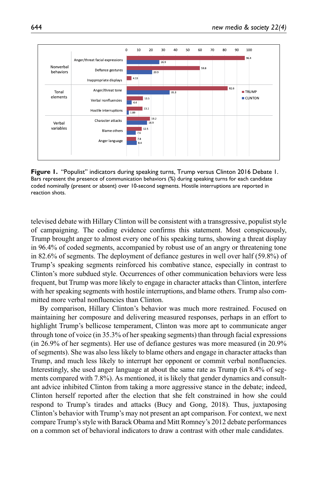

**Figure 1.** "Populist" indicators during speaking turns, Trump versus Clinton 2016 Debate 1. Bars represent the presence of communication behaviors (%) during speaking turns for each candidate coded nominally (present or absent) over 10-second segments. Hostile interruptions are reported in reaction shots.

televised debate with Hillary Clinton will be consistent with a transgressive, populist style of campaigning. The coding evidence confirms this statement. Most conspicuously, Trump brought anger to almost every one of his speaking turns, showing a threat display in 96.4% of coded segments, accompanied by robust use of an angry or threatening tone in 82.6% of segments. The deployment of defiance gestures in well over half (59.8%) of Trump's speaking segments reinforced his combative stance, especially in contrast to Clinton's more subdued style. Occurrences of other communication behaviors were less frequent, but Trump was more likely to engage in character attacks than Clinton, interfere with her speaking segments with hostile interruptions, and blame others. Trump also committed more verbal nonfluencies than Clinton.

By comparison, Hillary Clinton's behavior was much more restrained. Focused on maintaining her composure and delivering measured responses, perhaps in an effort to highlight Trump's bellicose temperament, Clinton was more apt to communicate anger through tone of voice (in 35.3% of her speaking segments) than through facial expressions (in 26.9% of her segments). Her use of defiance gestures was more measured (in 20.9% of segments). She was also less likely to blame others and engage in character attacks than Trump, and much less likely to interrupt her opponent or commit verbal nonfluencies. Interestingly, she used anger language at about the same rate as Trump (in 8.4% of segments compared with 7.8%). As mentioned, it is likely that gender dynamics and consultant advice inhibited Clinton from taking a more aggressive stance in the debate; indeed, Clinton herself reported after the election that she felt constrained in how she could respond to Trump's tirades and attacks (Bucy and Gong, 2018). Thus, juxtaposing Clinton's behavior with Trump's may not present an apt comparison. For context, we next compare Trump's style with Barack Obama and Mitt Romney's 2012 debate performances on a common set of behavioral indicators to draw a contrast with other male candidates.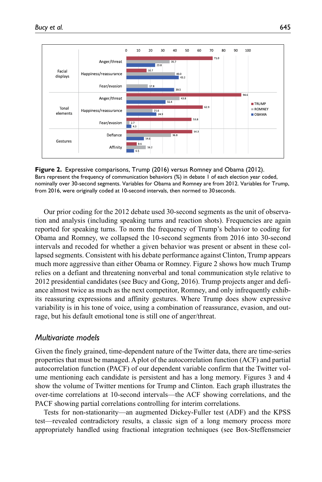



Our prior coding for the 2012 debate used 30-second segments as the unit of observation and analysis (including speaking turns and reaction shots). Frequencies are again reported for speaking turns. To norm the frequency of Trump's behavior to coding for Obama and Romney, we collapsed the 10-second segments from 2016 into 30-second intervals and recoded for whether a given behavior was present or absent in these collapsed segments. Consistent with his debate performance against Clinton, Trump appears much more aggressive than either Obama or Romney. Figure 2 shows how much Trump relies on a defiant and threatening nonverbal and tonal communication style relative to 2012 presidential candidates (see Bucy and Gong, 2016). Trump projects anger and defiance almost twice as much as the next competitor, Romney, and only infrequently exhibits reassuring expressions and affinity gestures. Where Trump does show expressive variability is in his tone of voice, using a combination of reassurance, evasion, and outrage, but his default emotional tone is still one of anger/threat.

## *Multivariate models*

Given the finely grained, time-dependent nature of the Twitter data, there are time-series properties that must be managed. A plot of the autocorrelation function (ACF) and partial autocorrelation function (PACF) of our dependent variable confirm that the Twitter volume mentioning each candidate is persistent and has a long memory. Figures 3 and 4 show the volume of Twitter mentions for Trump and Clinton. Each graph illustrates the over-time correlations at 10-second intervals—the ACF showing correlations, and the PACF showing partial correlations controlling for interim correlations.

Tests for non-stationarity—an augmented Dickey-Fuller test (ADF) and the KPSS test—revealed contradictory results, a classic sign of a long memory process more appropriately handled using fractional integration techniques (see Box-Steffensmeier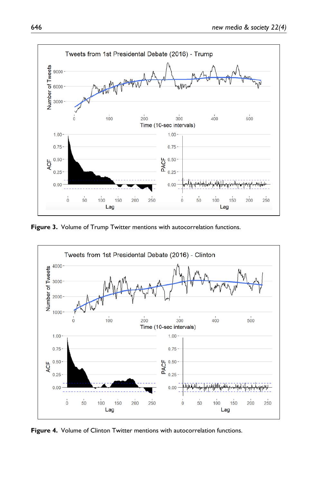

**Figure 3.** Volume of Trump Twitter mentions with autocorrelation functions.



**Figure 4.** Volume of Clinton Twitter mentions with autocorrelation functions.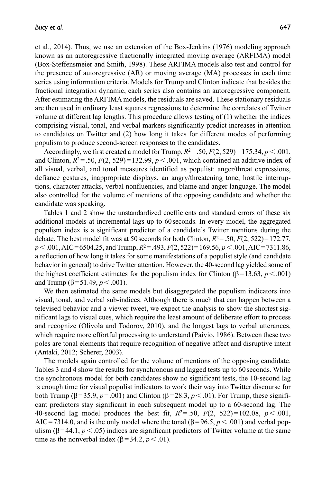et al., 2014). Thus, we use an extension of the Box-Jenkins (1976) modeling approach known as an autoregressive fractionally integrated moving average (ARFIMA) model (Box-Steffensmeier and Smith, 1998). These ARFIMA models also test and control for the presence of autoregressive (AR) or moving average (MA) processes in each time series using information criteria. Models for Trump and Clinton indicate that besides the fractional integration dynamic, each series also contains an autoregressive component. After estimating the ARFIMA models, the residuals are saved. These stationary residuals are then used in ordinary least squares regressions to determine the correlates of Twitter volume at different lag lengths. This procedure allows testing of (1) whether the indices comprising visual, tonal, and verbal markers significantly predict increases in attention to candidates on Twitter and (2) how long it takes for different modes of performing populism to produce second-screen responses to the candidates.

Accordingly, we first created a model for Trump,  $R^2 = .50$ ,  $F(2, 529) = 175.34$ ,  $p < .001$ , and Clinton,  $R^2 = .50$ ,  $F(2, 529) = 132.99$ ,  $p < .001$ , which contained an additive index of all visual, verbal, and tonal measures identified as populist: anger/threat expressions, defiance gestures, inappropriate displays, an angry/threatening tone, hostile interruptions, character attacks, verbal nonfluencies, and blame and anger language. The model also controlled for the volume of mentions of the opposing candidate and whether the candidate was speaking.

Tables 1 and 2 show the unstandardized coefficients and standard errors of these six additional models at incremental lags up to 60seconds. In every model, the aggregated populism index is a significant predictor of a candidate's Twitter mentions during the debate. The best model fit was at 50 seconds for both Clinton,  $R^2 = .50$ ,  $F(2, 522) = 172.77$ , *p*<.001, AIC=6504.25, and Trump, *R*2=.493, *F*(2, 522)=169.56, *p*<.001, AIC=7311.86, a reflection of how long it takes for some manifestations of a populist style (and candidate behavior in general) to drive Twitter attention. However, the 40-second lag yielded some of the highest coefficient estimates for the populism index for Clinton ( $\beta$ =13.63, *p* < .001) and Trump (β=51.49,  $p < .001$ ).

We then estimated the same models but disaggregated the populism indicators into visual, tonal, and verbal sub-indices. Although there is much that can happen between a televised behavior and a viewer tweet, we expect the analysis to show the shortest significant lags to visual cues, which require the least amount of deliberate effort to process and recognize (Olivola and Todorov, 2010), and the longest lags to verbal utterances, which require more effortful processing to understand (Paivio, 1986). Between these two poles are tonal elements that require recognition of negative affect and disruptive intent (Antaki, 2012; Scherer, 2003).

The models again controlled for the volume of mentions of the opposing candidate. Tables 3 and 4 show the results for synchronous and lagged tests up to 60seconds. While the synchronous model for both candidates show no significant tests, the 10-second lag is enough time for visual populist indicators to work their way into Twitter discourse for both Trump (β=35.9,  $p = .001$ ) and Clinton (β=28.3,  $p < .01$ ). For Trump, these significant predictors stay significant in each subsequent model up to a 60-second lag. The 40-second lag model produces the best fit,  $R^2 = .50$ ,  $F(2, 522) = 102.08$ ,  $p < .001$ , AIC=7314.0, and is the only model where the tonal ( $\beta$ =96.5,  $p$  < .001) and verbal populism ( $\beta$ =44.1,  $p$  < .05) indices are significant predictors of Twitter volume at the same time as the nonverbal index ( $\beta$ =34.2,  $p$  < .01).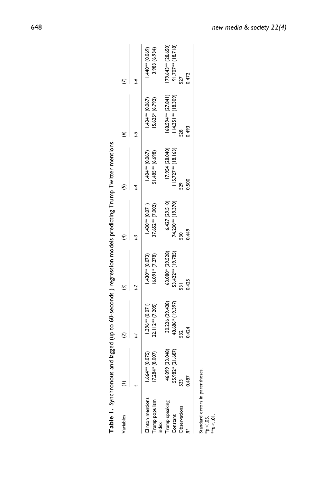| Table I. Synchronous           |                      |                     |                      |                       | and lagged (up to 60-seconds ) regression models predicting Trump Twitter mentions. |                       |                       |
|--------------------------------|----------------------|---------------------|----------------------|-----------------------|-------------------------------------------------------------------------------------|-----------------------|-----------------------|
| Variables                      |                      |                     |                      |                       |                                                                                     | ७                     |                       |
|                                |                      | ē                   |                      | J                     | 14                                                                                  | 5                     | 4                     |
| linton mentions                | $1.664**$ (0.075)    | $1.396**$ (0.071)   | (1.073)              | $(150^{**}$ (0.071)   | $1.404**$ (0.067)                                                                   | $1.434**$ (0.067)     | $1.440**$ (0.069)     |
| Trump populism<br>ndex         | 4* (8.007)<br>17.284 | 22.112** (7.205)    | $16.091*$ (7.278)    | 37.652** (7.002)      | 51.485** (6.698)                                                                    | 15.625* (6.792)       | 3.983 (6.934)         |
| Trump speaking                 | 46.899 (33.048)      | 30.226 (29.428)     | 63.080* (29.528)     | 6.427(29.510)         | 17.954 (28.040)                                                                     | 168.594*** (27.841)   | $179.643** (28.650)$  |
| Constant                       | $-55.982* (21.687)$  | $-48.686*$ (19.397) | $-53.422**$ (19.785) | $-74.230***$ (19.370) | $-115.727**$ (18.163)                                                               | $-114.351**$ (18.309) | $-91.707***$ (18.718) |
| Observations                   | 533                  | 52                  | 531                  | $\frac{50}{2}$        | 529                                                                                 | 528                   | 527                   |
|                                | 0.487                | 0.424               | 0.425                | 0.449                 | 0.500                                                                               | 0.493                 | 0.472                 |
| Standard errors in parentheses |                      |                     |                      |                       |                                                                                     |                       |                       |
| $\approx 0.5$                  |                      |                     |                      |                       |                                                                                     |                       |                       |
| p < 01                         |                      |                     |                      |                       |                                                                                     |                       |                       |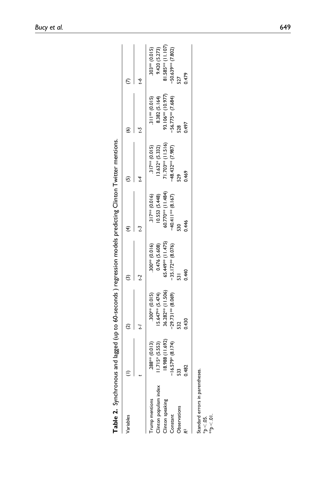| Table 2. Synchronous                             |                 | and lagged (up to 60-seconds ) regression models predicting Clinton Twitter mentions. |                     |                               |                      |                     |                               |
|--------------------------------------------------|-----------------|---------------------------------------------------------------------------------------|---------------------|-------------------------------|----------------------|---------------------|-------------------------------|
| Variables                                        |                 | ₫                                                                                     |                     |                               | 'n                   | €                   |                               |
|                                                  |                 |                                                                                       |                     |                               |                      |                     | t-o                           |
| rump mentions                                    | 288** (0.013)   | $(5100**0015)$                                                                        | (916)               | $.317*** (0.016)$             | $.317**$ (0.015)     | $.311***$ (0.015)   | $.303*** (0.015)$             |
| Clinton populism index                           | $1.715*(5.553)$ | $15.647***$ (5.474)                                                                   | 0.476 (5.608)       | 10.553 (5.448)                | $13.632*(5.332)$     | 8.382 (5.164)       | 9.420 (5.273)                 |
| Clinton speaking                                 | 8.988 (11.692)  | 36.282** (11.506)                                                                     | 65.449*** (11.475)  | 60.770 <sup>**</sup> (11.484) | $71.703***$ (11.516) | 93.106*** (10.977)  | 81.585 <sup>**</sup> (11.107) |
| Constant                                         | $.579* (8.174)$ | $-29.731**$ (8.069)                                                                   | $-35.172**$ (8.076) | $-40.411**$ (8.167)           | $-48.432**$ (7.987)  | $-56.775**$ (7.684) | $-50.63$ % (7.802)            |
| <b>Observations</b>                              | 533             | 532                                                                                   | $\overline{5}$      | $\frac{8}{2}$                 | 529                  | 528                 |                               |
|                                                  | 0.482           | 0.430                                                                                 | 0.440               | 0.446                         | 0.469                | 0.497               | 0.479                         |
|                                                  |                 |                                                                                       |                     |                               |                      |                     |                               |
| Standard errors in parentheses.<br>$\phi < 05$ . |                 |                                                                                       |                     |                               |                      |                     |                               |
| $10^\circ$ > d                                   |                 |                                                                                       |                     |                               |                      |                     |                               |
|                                                  |                 |                                                                                       |                     |                               |                      |                     |                               |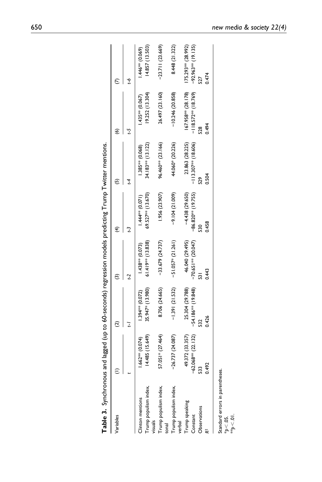| ı                                                           |
|-------------------------------------------------------------|
|                                                             |
| J                                                           |
|                                                             |
| sains and larger for the formation paracion models re-<br>J |
| ココンソット                                                      |
|                                                             |
|                                                             |
| )<br>}<br>}                                                 |
| 45) p.yggm p.m p.                                           |
|                                                             |
|                                                             |
|                                                             |
|                                                             |
| able 3. S                                                   |

| Variables                                                  |                       |                      |                      | $\widehat{f}$         | 6                      | 6                      |                       |
|------------------------------------------------------------|-----------------------|----------------------|----------------------|-----------------------|------------------------|------------------------|-----------------------|
|                                                            |                       | Ξ                    |                      |                       |                        |                        | ς,                    |
| Clinton mentions                                           | $1.662***$ (0.074)    | $1.394***$ (0.072)   | $1.438***$ (0.073)   | $1.444** (0.071)$     | $1.385** (0.068)$      | .435*** (0.067)        | $1.446**$ (0.069)     |
| rump populism index,<br>visuals                            | 14.485 (15.649)       | 35.947* (13.980)     | $61.419***$ (13.838) | 69.527** (13.670)     | 34.183** (13.122)      | 19.252 (13.304)        | 14.857 (13.503)       |
| Trump populism index,<br>tonal                             | 57.051* (27.464)      | 8.706 (24.665)       | $-33.679(24.737)$    | 1.956 (23.907)        | 96.460** (23.166)      | 26.497 (23.160)        | $-23.711(23.669)$     |
| Trump populism index,<br>verbal                            | $-26.737(24.087)$     | $-1.391(21.532)$     | $-51.057*(21.261)$   | $-9.104(21.009)$      | 44.060* (20.226)       | $-10.246(20.858)$      | 8.448 (21.322)        |
| Trump speaking                                             | 49.372 (33.357)       | 25.304 (29.788)      | 46.040 (29.495)      | $-4.438(29.650)$      | 23.863 (28.225)        | $167.958***$ (28.178)  | I75.293** (28.992)    |
| Constant                                                   | $-62.068***$ (22.132) | $-54.186**$ (19.848) | $-70.651**$ (20.047) | $-86.820***$ (19.755) | $-113.307***$ (18.606) | $-118.572***$ (18.769) | $-92.963***$ (19.135) |
| Observations                                               | 53                    |                      |                      | 530                   | 529                    | $\frac{8}{2}$          |                       |
|                                                            | 0.492                 | 0.426                | 0.443                | 0.458                 | 0.504                  | 0.494                  | 0.474                 |
| Standard errors in parentheses.<br>$\approx 0.5$<br>10 > 4 |                       |                      |                      |                       |                        |                        |                       |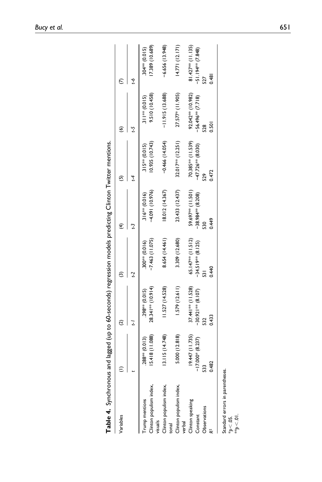| Variables                                                  |                    |                     |                      | ₹                   | ⊕                    | ଛ                   |                                 |
|------------------------------------------------------------|--------------------|---------------------|----------------------|---------------------|----------------------|---------------------|---------------------------------|
|                                                            |                    |                     |                      |                     |                      |                     |                                 |
|                                                            |                    |                     |                      |                     | 14                   |                     | ς-1                             |
| rump mentions                                              | $(288** (0.013))$  | 298** (0.015)       | 300** (0.016)        | $316*** (0.016)$    | $.315*** (0.015)$    | $.311***$ (0.015)   | 304 <sup>**</sup> (0.015)       |
| Jinton populism index,<br>visuals                          | 15.418 (11.088)    | 28.34   ** (10.914) | $-7.463(11.075)$     | $-4.091(10.976)$    | (0.935(10.743))      | 9.510 (10.458)      | (17.389 (10.689)                |
| Clinton populism index,<br>tonal                           | 13.115 (14.748)    | 11.527 (14.528)     | 8.654 (14.461)       | 8.012 (14.367)      | $-0.466(14.054)$     | $-11.915(13.688)$   | $-6.656(13.948)$                |
| Clinton populism index,<br>verbal                          | 5.000 (12.818)     | 1.579(12.611)       | 3.309 (12.680)       | 23.433 (12.437)     | 32.017** (12.251)    | 27.577* (11.905)    | 14.771(12.171)                  |
| Clinton speaking                                           | 19.447 (11.735)    | $37.441**$ (11.528) | 65.147** (11.512)    | 59.697** (11.501)   | 70.385*** (11.539)   | 92.042** (10.982)   | $81.427$ <sup>**</sup> (11.135) |
| Constant                                                   | $-17.000*$ (8.237) | $-30.921**$ (8.107) | $-34.519***$ (8.125) | $-38.984**$ (8.208) | $-47.726***$ (8.030) | $-56.496**$ (7.718) | $-51.194*7.848$                 |
| Observations                                               | $\frac{33}{2}$     |                     |                      |                     | 529                  |                     |                                 |
|                                                            | .482               | 0.433               | 0.440                | 0.449               | 0472                 | 0.501               | 0.481                           |
| Standard errors in parentheses.<br>$\phi$ < .05.<br>10 > 4 |                    |                     |                      |                     |                      |                     |                                 |
|                                                            |                    |                     |                      |                     |                      |                     |                                 |

| $\overline{C}$ linton<br>)<br>=<br>1<br>)<br>v                                                              |
|-------------------------------------------------------------------------------------------------------------|
|                                                                                                             |
|                                                                                                             |
|                                                                                                             |
|                                                                                                             |
|                                                                                                             |
|                                                                                                             |
|                                                                                                             |
|                                                                                                             |
| ynchronous and lagged (up to 60-seconds) regression models predicting<br>duly navage nie snoin ininky<br>ハイ |
|                                                                                                             |
| ŕ                                                                                                           |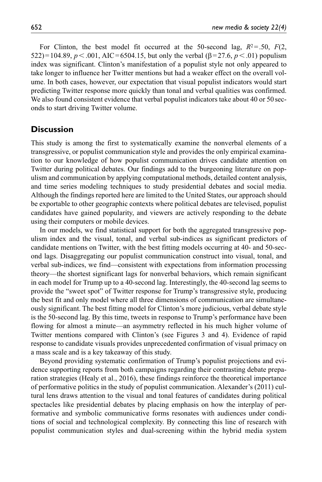For Clinton, the best model fit occurred at the 50-second lag,  $R^2 = 0.50$ ,  $F(2)$ , 522)=104.89, *p*<.001, AIC=6504.15, but only the verbal (β=27.6, *p*<.01) populism index was significant. Clinton's manifestation of a populist style not only appeared to take longer to influence her Twitter mentions but had a weaker effect on the overall volume. In both cases, however, our expectation that visual populist indicators would start predicting Twitter response more quickly than tonal and verbal qualities was confirmed. We also found consistent evidence that verbal populist indicators take about 40 or 50 seconds to start driving Twitter volume.

# **Discussion**

This study is among the first to systematically examine the nonverbal elements of a transgressive, or populist communication style and provides the only empirical examination to our knowledge of how populist communication drives candidate attention on Twitter during political debates. Our findings add to the burgeoning literature on populism and communication by applying computational methods, detailed content analysis, and time series modeling techniques to study presidential debates and social media. Although the findings reported here are limited to the United States, our approach should be exportable to other geographic contexts where political debates are televised, populist candidates have gained popularity, and viewers are actively responding to the debate using their computers or mobile devices.

In our models, we find statistical support for both the aggregated transgressive populism index and the visual, tonal, and verbal sub-indices as significant predictors of candidate mentions on Twitter, with the best fitting models occurring at 40- and 50-second lags. Disaggregating our populist communication construct into visual, tonal, and verbal sub-indices, we find—consistent with expectations from information processing theory—the shortest significant lags for nonverbal behaviors, which remain significant in each model for Trump up to a 40-second lag. Interestingly, the 40-second lag seems to provide the "sweet spot" of Twitter response for Trump's transgressive style, producing the best fit and only model where all three dimensions of communication are simultaneously significant. The best fitting model for Clinton's more judicious, verbal debate style is the 50-second lag. By this time, tweets in response to Trump's performance have been flowing for almost a minute—an asymmetry reflected in his much higher volume of Twitter mentions compared with Clinton's (see Figures 3 and 4). Evidence of rapid response to candidate visuals provides unprecedented confirmation of visual primacy on a mass scale and is a key takeaway of this study.

Beyond providing systematic confirmation of Trump's populist projections and evidence supporting reports from both campaigns regarding their contrasting debate preparation strategies (Healy et al., 2016), these findings reinforce the theoretical importance of performative politics in the study of populist communication. Alexander's (2011) cultural lens draws attention to the visual and tonal features of candidates during political spectacles like presidential debates by placing emphasis on how the interplay of performative and symbolic communicative forms resonates with audiences under conditions of social and technological complexity. By connecting this line of research with populist communication styles and dual-screening within the hybrid media system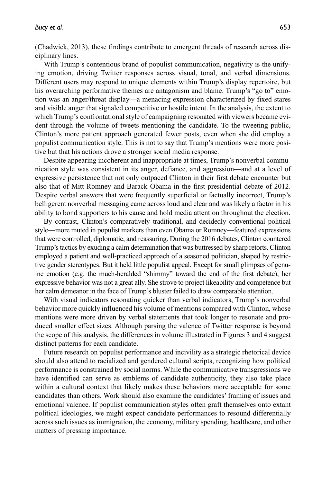(Chadwick, 2013), these findings contribute to emergent threads of research across disciplinary lines.

With Trump's contentious brand of populist communication, negativity is the unifying emotion, driving Twitter responses across visual, tonal, and verbal dimensions. Different users may respond to unique elements within Trump's display repertoire, but his overarching performative themes are antagonism and blame. Trump's "go to" emotion was an anger/threat display—a menacing expression characterized by fixed stares and visible anger that signaled competitive or hostile intent. In the analysis, the extent to which Trump's confrontational style of campaigning resonated with viewers became evident through the volume of tweets mentioning the candidate. To the tweeting public, Clinton's more patient approach generated fewer posts, even when she did employ a populist communication style. This is not to say that Trump's mentions were more positive but that his actions drove a stronger social media response.

Despite appearing incoherent and inappropriate at times, Trump's nonverbal communication style was consistent in its anger, defiance, and aggression—and at a level of expressive persistence that not only outpaced Clinton in their first debate encounter but also that of Mitt Romney and Barack Obama in the first presidential debate of 2012. Despite verbal answers that were frequently superficial or factually incorrect, Trump's belligerent nonverbal messaging came across loud and clear and was likely a factor in his ability to bond supporters to his cause and hold media attention throughout the election.

By contrast, Clinton's comparatively traditional, and decidedly conventional political style—more muted in populist markers than even Obama or Romney—featured expressions that were controlled, diplomatic, and reassuring. During the 2016 debates, Clinton countered Trump's tactics by exuding a calm determination that was buttressed by sharp retorts. Clinton employed a patient and well-practiced approach of a seasoned politician, shaped by restrictive gender stereotypes. But it held little populist appeal. Except for small glimpses of genuine emotion (e.g. the much-heralded "shimmy" toward the end of the first debate), her expressive behavior was not a great ally. She strove to project likeability and competence but her calm demeanor in the face of Trump's bluster failed to draw comparable attention.

With visual indicators resonating quicker than verbal indicators, Trump's nonverbal behavior more quickly influenced his volume of mentions compared with Clinton, whose mentions were more driven by verbal statements that took longer to resonate and produced smaller effect sizes. Although parsing the valence of Twitter response is beyond the scope of this analysis, the differences in volume illustrated in Figures 3 and 4 suggest distinct patterns for each candidate.

Future research on populist performance and incivility as a strategic rhetorical device should also attend to racialized and gendered cultural scripts, recognizing how political performance is constrained by social norms. While the communicative transgressions we have identified can serve as emblems of candidate authenticity, they also take place within a cultural context that likely makes these behaviors more acceptable for some candidates than others. Work should also examine the candidates' framing of issues and emotional valence. If populist communication styles often graft themselves onto extant political ideologies, we might expect candidate performances to resound differentially across such issues as immigration, the economy, military spending, healthcare, and other matters of pressing importance.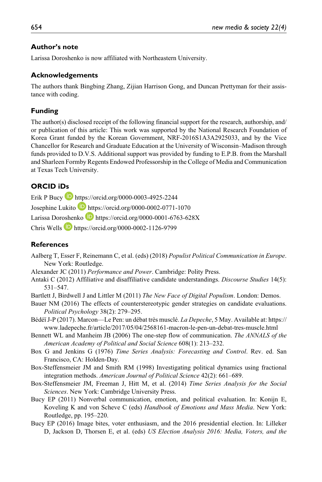## **Author's note**

Larissa Doroshenko is now affiliated with Northeastern University.

## **Acknowledgements**

The authors thank Bingbing Zhang, Zijian Harrison Gong, and Duncan Prettyman for their assistance with coding.

## **Funding**

The author(s) disclosed receipt of the following financial support for the research, authorship, and/ or publication of this article: This work was supported by the National Research Foundation of Korea Grant funded by the Korean Government, NRF-2016S1A3A2925033, and by the Vice Chancellor for Research and Graduate Education at the University of Wisconsin–Madison through funds provided to D.V.S. Additional support was provided by funding to E.P.B. from the Marshall and Sharleen Formby Regents Endowed Professorship in the College of Media and Communication at Texas Tech University.

# **ORCID iDs**

Erik P Bucy <https://orcid.org/0000-0003-4925-2244> Josephine Lukito **b** <https://orcid.org/0000-0002-0771-1070>

Larissa Doroshenko **h**ttps://orcid.org/0000-0001-6763-628X

Chris Wells <https://orcid.org/0000-0002-1126-9799>

## **References**

- Aalberg T, Esser F, Reinemann C, et al. (eds) (2018) *Populist Political Communication in Europe*. New York: Routledge.
- Alexander JC (2011) *Performance and Power*. Cambridge: Polity Press.
- Antaki C (2012) Affiliative and disaffiliative candidate understandings. *Discourse Studies* 14(5): 531–547.
- Bartlett J, Birdwell J and Littler M (2011) *The New Face of Digital Populism*. London: Demos.
- Bauer NM (2016) The effects of counterstereotypic gender strategies on candidate evaluations. *Political Psychology* 38(2): 279–295.
- Bédéï J-P (2017). Marcon—Le Pen: un débat très musclé. *La Depeche*, 5 May. Available at: [https://](https://www.ladepeche.fr/article/2017/05/04/2568161-macron-le-pen-un-debat-tres-muscle.html) [www.ladepeche.fr/article/2017/05/04/2568161-macron-le-pen-un-debat-tres-muscle.html](https://www.ladepeche.fr/article/2017/05/04/2568161-macron-le-pen-un-debat-tres-muscle.html)
- Bennett WL and Manheim JB (2006) The one-step flow of communication. *The ANNALS of the American Academy of Political and Social Science* 608(1): 213–232.
- Box G and Jenkins G (1976) *Time Series Analysis: Forecasting and Control*. Rev. ed. San Francisco, CA: Holden-Day.
- Box-Steffensmeier JM and Smith RM (1998) Investigating political dynamics using fractional integration methods. *American Journal of Political Science* 42(2): 661–689.
- Box-Steffensmeier JM, Freeman J, Hitt M, et al. (2014) *Time Series Analysis for the Social Sciences*. New York: Cambridge University Press.
- Bucy EP (2011) Nonverbal communication, emotion, and political evaluation. In: Konijn E, Koveling K and von Scheve C (eds) *Handbook of Emotions and Mass Media*. New York: Routledge, pp. 195–220.
- Bucy EP (2016) Image bites, voter enthusiasm, and the 2016 presidential election. In: Lilleker D, Jackson D, Thorsen E, et al. (eds) *US Election Analysis 2016: Media, Voters, and the*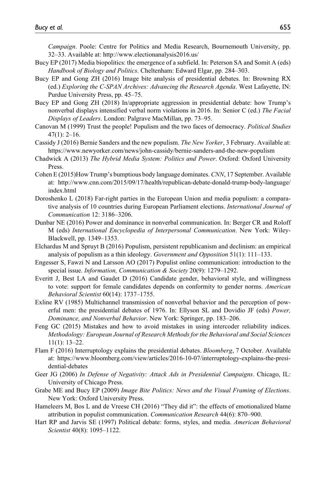*Campaign*. Poole: Centre for Politics and Media Research, Bournemouth University, pp. 32–33. Available at: <http://www.electionanalysis2016.us/>

- Bucy EP (2017) Media biopolitics: the emergence of a subfield. In: Peterson SA and Somit A (eds) *Handbook of Biology and Politics*. Cheltenham: Edward Elgar, pp. 284–303.
- Bucy EP and Gong ZH (2016) Image bite analysis of presidential debates. In: Browning RX (ed.) *Exploring the C-SPAN Archives: Advancing the Research Agenda*. West Lafayette, IN: Purdue University Press, pp. 45–75.
- Bucy EP and Gong ZH (2018) In/appropriate aggression in presidential debate: how Trump's nonverbal displays intensified verbal norm violations in 2016. In: Senior C (ed.) *The Facial Displays of Leaders*. London: Palgrave MacMillan, pp. 73–95.
- Canovan M (1999) Trust the people! Populism and the two faces of democracy. *Political Studies* 47(1): 2–16.
- Cassidy J (2016) Bernie Sanders and the new populism. *The New Yorker*, 3 February. Available at: <https://www.newyorker.com/news/john-cassidy/bernie-sanders-and-the-new-populism>
- Chadwick A (2013) *The Hybrid Media System: Politics and Power*. Oxford: Oxford University Press.
- Cohen E (2015)How Trump's bumptious body language dominates. *CNN*, 17 September. Available at: [http://www.cnn.com/2015/09/17/health/republican-debate-donald-trump-body-language/](http://www.cnn.com/2015/09/17/health/republican-debate-donald-trump-body-language/index.html) [index.html](http://www.cnn.com/2015/09/17/health/republican-debate-donald-trump-body-language/index.html)
- Doroshenko L (2018) Far-right parties in the European Union and media populism: a comparative analysis of 10 countries during European Parliament elections. *International Journal of Communication* 12: 3186–3206.
- Dunbar NE (2016) Power and dominance in nonverbal communication. In: Berger CR and Roloff M (eds) *International Encyclopedia of Interpersonal Communication*. New York: Wiley-Blackwell, pp. 1349–1353.
- Elchardus M and Spruyt B (2016) Populism, persistent republicanism and declinism: an empirical analysis of populism as a thin ideology. *Government and Opposition* 51(1): 111–133.
- Engesser S, Fawzi N and Larsson AO (2017) Populist online communication: introduction to the special issue. *Information, Communication & Society* 20(9): 1279–1292.
- Everitt J, Best LA and Gaudet D (2016) Candidate gender, behavioral style, and willingness to vote: support for female candidates depends on conformity to gender norms. *American Behavioral Scientist* 60(14): 1737–1755.
- Exline RV (1985) Multichannel transmission of nonverbal behavior and the perception of powerful men: the presidential debates of 1976. In: Ellyson SL and Dovidio JF (eds) *Power, Dominance, and Nonverbal Behavior*. New York: Springer, pp. 183–206.
- Feng GC (2015) Mistakes and how to avoid mistakes in using intercoder reliability indices. *Methodology: European Journal of Research Methods for the Behavioral and Social Sciences* 11(1): 13–22.
- Flam F (2016) Interruptology explains the presidential debates. *Bloomberg*, 7 October. Available at: [https://www.bloomberg.com/view/articles/2016-10-07/interruptology-explains-the-presi](https://www.bloomberg.com/view/articles/2016-10-07/interruptology-explains-the-presidential-debates)[dential-debates](https://www.bloomberg.com/view/articles/2016-10-07/interruptology-explains-the-presidential-debates)
- Geer JG (2006) *In Defense of Negativity: Attack Ads in Presidential Campaigns*. Chicago, IL: University of Chicago Press.
- Grabe ME and Bucy EP (2009) *Image Bite Politics: News and the Visual Framing of Elections*. New York: Oxford University Press.
- Hameleers M, Bos L and de Vreese CH (2016) "They did it": the effects of emotionalized blame attribution in populist communication. *Communication Research* 44(6): 870–900.
- Hart RP and Jarvis SE (1997) Political debate: forms, styles, and media. *American Behavioral Scientist* 40(8): 1095–1122.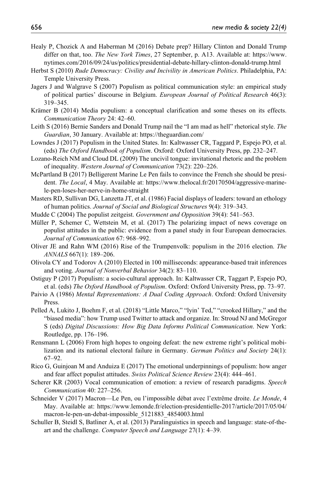- Healy P, Chozick A and Haberman M (2016) Debate prep? Hillary Clinton and Donald Trump differ on that, too. *The New York Times*, 27 September, p. A13. Available at: [https://www.](https://www.nytimes.com/2016/09/24/us/politics/presidential-debate-hillary-clinton-donald-trump.html) [nytimes.com/2016/09/24/us/politics/presidential-debate-hillary-clinton-donald-trump.html](https://www.nytimes.com/2016/09/24/us/politics/presidential-debate-hillary-clinton-donald-trump.html)
- Herbst S (2010) *Rude Democracy: Civility and Incivility in American Politics*. Philadelphia, PA: Temple University Press.
- Jagers J and Walgrave S (2007) Populism as political communication style: an empirical study of political parties' discourse in Belgium. *European Journal of Political Research* 46(3): 319–345.
- Krämer B (2014) Media populism: a conceptual clarification and some theses on its effects. *Communication Theory* 24: 42–60.
- Leith S (2016) Bernie Sanders and Donald Trump nail the "I am mad as hell" rhetorical style. *The Guardian*, 30 January. Available at:<https://theguardian.com/>
- Lowndes J (2017) Populism in the United States. In: Kaltwasser CR, Taggard P, Espejo PO, et al. (eds) *The Oxford Handbook of Populism*. Oxford: Oxford University Press, pp. 232–247.
- Lozano-Reich NM and Cloud DL (2009) The uncivil tongue: invitational rhetoric and the problem of inequality. *Western Journal of Communication* 73(2): 220–226.
- McPartland B (2017) Belligerent Marine Le Pen fails to convince the French she should be president. *The Local*, 4 May. Available at: [https://www.thelocal.fr/20170504/aggressive-marine](https://www.thelocal.fr/20170504/aggressive-marine-le-pen-loses-her-nerve-in-home-straight)[le-pen-loses-her-nerve-in-home-straight](https://www.thelocal.fr/20170504/aggressive-marine-le-pen-loses-her-nerve-in-home-straight)
- Masters RD, Sullivan DG, Lanzetta JT, et al. (1986) Facial displays of leaders: toward an ethology of human politics. *Journal of Social and Biological Structures* 9(4): 319–343.
- Mudde C (2004) The populist zeitgeist. *Government and Opposition* 39(4): 541–563.
- Müller P, Schemer C, Wettstein M, et al. (2017) The polarizing impact of news coverage on populist attitudes in the public: evidence from a panel study in four European democracies. *Journal of Communication* 67: 968–992.
- Oliver JE and Rahn WM (2016) Rise of the Trumpenvolk: populism in the 2016 election. *The ANNALS* 667(1): 189–206.
- Olivola CY and Todorov A (2010) Elected in 100 milliseconds: appearance-based trait inferences and voting. *Journal of Nonverbal Behavior* 34(2): 83–110.
- Ostiguy P (2017) Populism: a socio-cultural approach. In: Kaltwasser CR, Taggart P, Espejo PO, et al. (eds) *The Oxford Handbook of Populism*. Oxford: Oxford University Press, pp. 73–97.
- Paivio A (1986) *Mental Representations: A Dual Coding Approach*. Oxford: Oxford University Press.
- Pelled A, Lukito J, Boehm F, et al. (2018) "Little Marco," "lyin' Ted," "crooked Hillary," and the "biased media": how Trump used Twitter to attack and organize. In: Stroud NJ and McGregor S (eds) *Digital Discussions: How Big Data Informs Political Communication*. New York: Routledge, pp. 176–196.
- Rensmann L (2006) From high hopes to ongoing defeat: the new extreme right's political mobilization and its national electoral failure in Germany. *German Politics and Society* 24(1): 67–92.
- Rico G, Guinjoan M and Anduiza E (2017) The emotional underpinnings of populism: how anger and fear affect populist attitudes. *Swiss Political Science Review* 23(4): 444–461.
- Scherer KR (2003) Vocal communication of emotion: a review of research paradigms. *Speech Communication* 40: 227–256.
- Schneider V (2017) Macron—Le Pen, ou l'impossible débat avec l'extrême droite. *Le Monde*, 4 May. Available at: [https://www.lemonde.fr/election-presidentielle-2017/article/2017/05/04/](https://www.lemonde.fr/election-presidentielle-2017/article/2017/05/04/macron-le-pen-un-debat-impossible_5121883_4854003.html) [macron-le-pen-un-debat-impossible\\_5121883\\_4854003.html](https://www.lemonde.fr/election-presidentielle-2017/article/2017/05/04/macron-le-pen-un-debat-impossible_5121883_4854003.html)
- Schuller B, Steidl S, Batliner A, et al. (2013) Paralinguistics in speech and language: state-of-theart and the challenge. *Computer Speech and Language* 27(1): 4–39.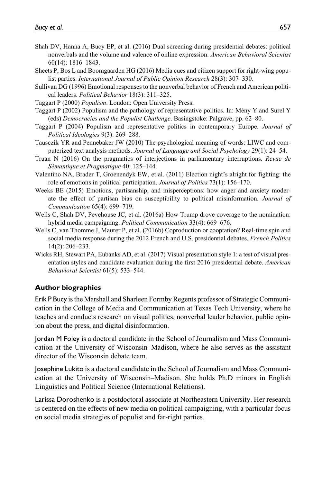- Shah DV, Hanna A, Bucy EP, et al. (2016) Dual screening during presidential debates: political nonverbals and the volume and valence of online expression. *American Behavioral Scientist* 60(14): 1816–1843.
- Sheets P, Bos L and Boomgaarden HG (2016) Media cues and citizen support for right-wing populist parties. *International Journal of Public Opinion Research* 28(3): 307–330.
- Sullivan DG (1996) Emotional responses to the nonverbal behavior of French and American political leaders. *Political Behavior* 18(3): 311–325.
- Taggart P (2000) *Populism*. London: Open University Press.
- Taggart P (2002) Populism and the pathology of representative politics. In: Mény Y and Surel Y (eds) *Democracies and the Populist Challenge*. Basingstoke: Palgrave, pp. 62–80.
- Taggart P (2004) Populism and representative politics in contemporary Europe. *Journal of Political Ideologies* 9(3): 269–288.
- Tausczik YR and Pennebaker JW (2010) The psychological meaning of words: LIWC and computerized text analysis methods. *Journal of Language and Social Psychology* 29(1): 24–54.
- Truan N (2016) On the pragmatics of interjections in parliamentary interruptions. *Revue de Sémantique et Pragmatique* 40: 125–144.
- Valentino NA, Brader T, Groenendyk EW, et al. (2011) Election night's alright for fighting: the role of emotions in political participation. *Journal of Politics* 73(1): 156–170.
- Weeks BE (2015) Emotions, partisanship, and misperceptions: how anger and anxiety moderate the effect of partisan bias on susceptibility to political misinformation. *Journal of Communication* 65(4): 699–719.
- Wells C, Shah DV, Pevehouse JC, et al. (2016a) How Trump drove coverage to the nomination: hybrid media campaigning. *Political Communication* 33(4): 669–676.
- Wells C, van Thomme J, Maurer P, et al. (2016b) Coproduction or cooptation? Real-time spin and social media response during the 2012 French and U.S. presidential debates. *French Politics* 14(2): 206–233.
- Wicks RH, Stewart PA, Eubanks AD, et al. (2017) Visual presentation style 1: a test of visual presentation styles and candidate evaluation during the first 2016 presidential debate. *American Behavioral Scientist* 61(5): 533–544.

## **Author biographies**

Erik P Bucy is the Marshall and Sharleen Formby Regents professor of Strategic Communication in the College of Media and Communication at Texas Tech University, where he teaches and conducts research on visual politics, nonverbal leader behavior, public opinion about the press, and digital disinformation.

Jordan M Foley is a doctoral candidate in the School of Journalism and Mass Communication at the University of Wisconsin–Madison, where he also serves as the assistant director of the Wisconsin debate team.

Josephine Lukito is a doctoral candidate in the School of Journalism and Mass Communication at the University of Wisconsin–Madison. She holds Ph.D minors in English Linguistics and Political Science (International Relations).

Larissa Doroshenko is a postdoctoral associate at Northeastern University. Her research is centered on the effects of new media on political campaigning, with a particular focus on social media strategies of populist and far-right parties.